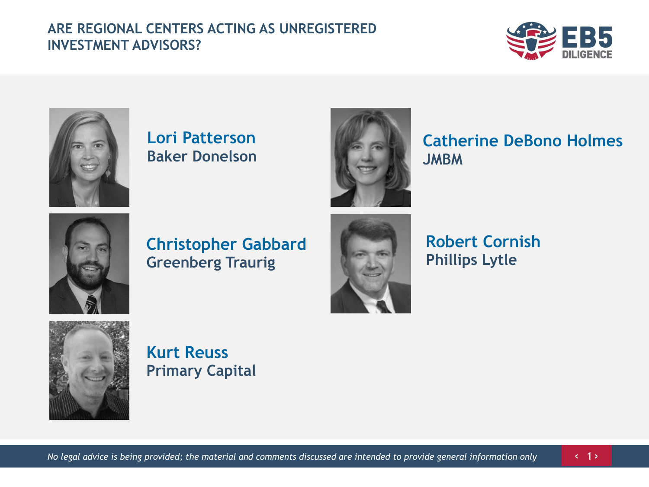



**Lori Patterson Baker Donelson**



### **Catherine DeBono Holmes JMBM**



**Christopher Gabbard Greenberg Traurig**



**Robert Cornish Phillips Lytle**



**Kurt Reuss Primary Capital**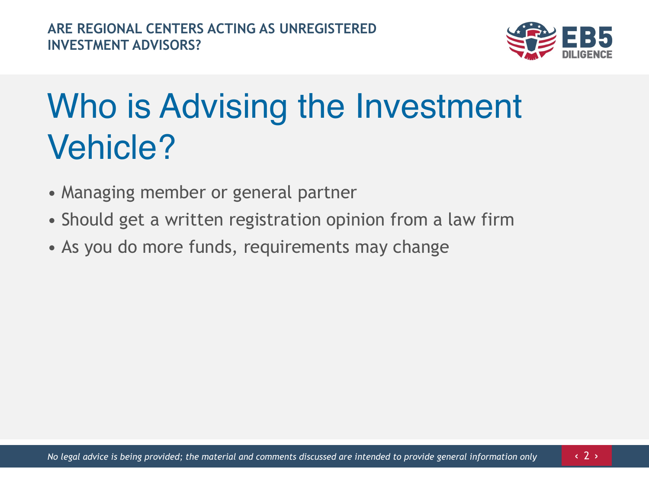

## Who is Advising the Investment Vehicle?

- Managing member or general partner
- Should get a written registration opinion from a law firm
- As you do more funds, requirements may change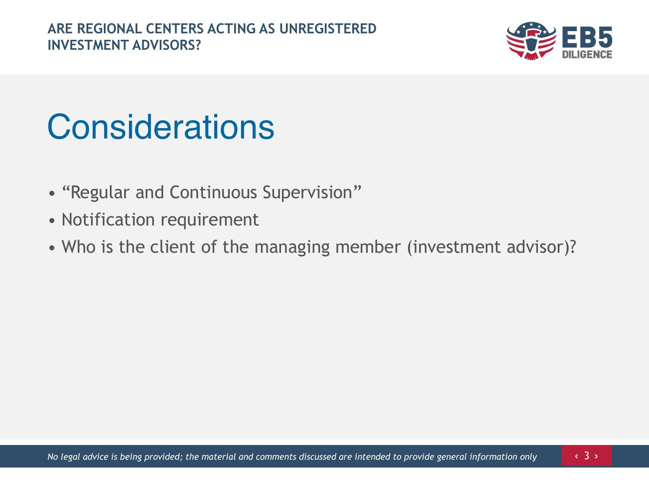

## Considerations

- "Regular and Continuous Supervision"
- Notification requirement
- Who is the client of the managing member (investment advisor)?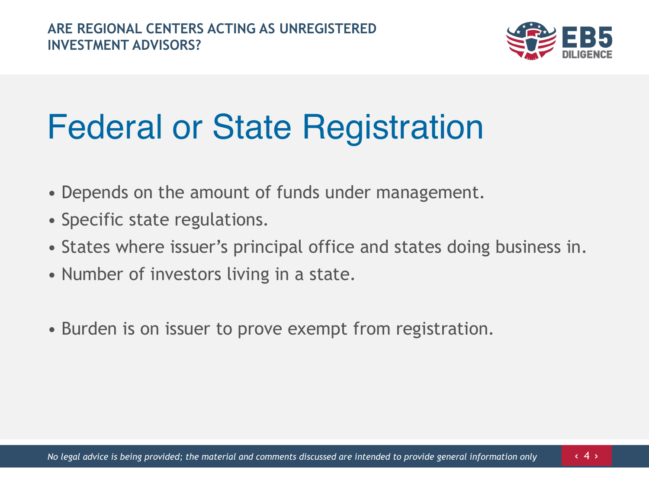

## Federal or State Registration

- Depends on the amount of funds under management.
- Specific state regulations.
- States where issuer's principal office and states doing business in.
- Number of investors living in a state.
- Burden is on issuer to prove exempt from registration.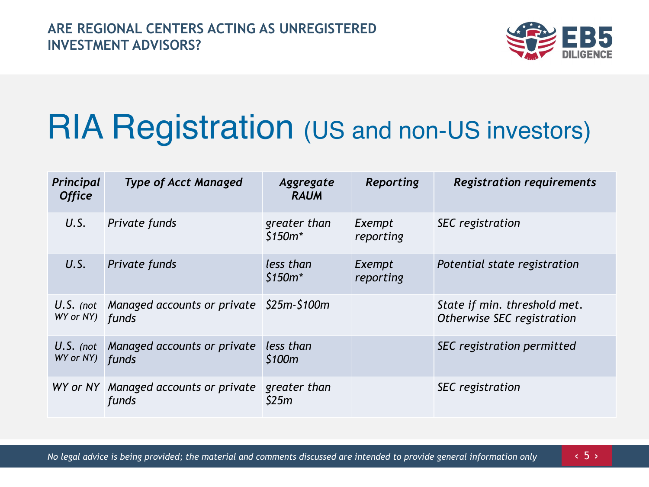

### RIA Registration (US and non-US investors)

| Principal<br><b>Office</b> | <b>Type of Acct Managed</b>                         | Aggregate<br><b>RAUM</b> | <b>Reporting</b>    | <b>Registration requirements</b>                           |
|----------------------------|-----------------------------------------------------|--------------------------|---------------------|------------------------------------------------------------|
| U.S.                       | Private funds                                       | greater than<br>$$150m*$ | Exempt<br>reporting | <b>SEC</b> registration                                    |
| U.S.                       | Private funds                                       | less than<br>$$150m*$    | Exempt<br>reporting | Potential state registration                               |
| WY or NY) funds            | U.S. (not Managed accounts or private \$25m-\$100m) |                          |                     | State if min. threshold met.<br>Otherwise SEC registration |
| WY or NY)                  | U.S. (not Managed accounts or private<br>funds      | less than<br>\$100m      |                     | SEC registration permitted                                 |
|                            | WY or NY Managed accounts or private<br>funds       | greater than<br>\$25m    |                     | <b>SEC</b> registration                                    |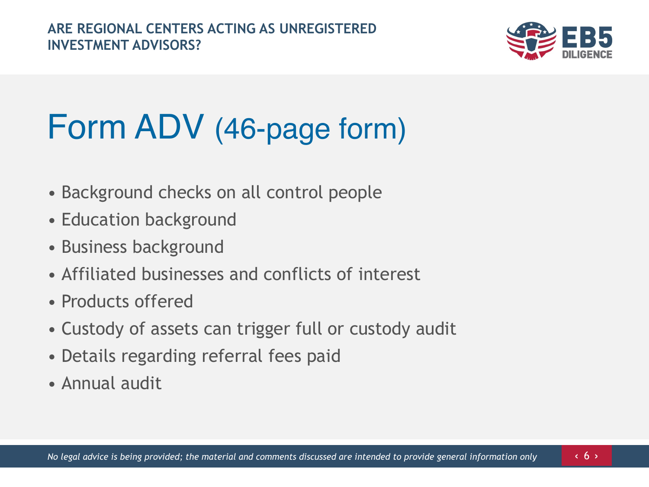

## Form ADV (46-page form)

- Background checks on all control people
- Education background
- Business background
- Affiliated businesses and conflicts of interest
- Products offered
- Custody of assets can trigger full or custody audit
- Details regarding referral fees paid
- Annual audit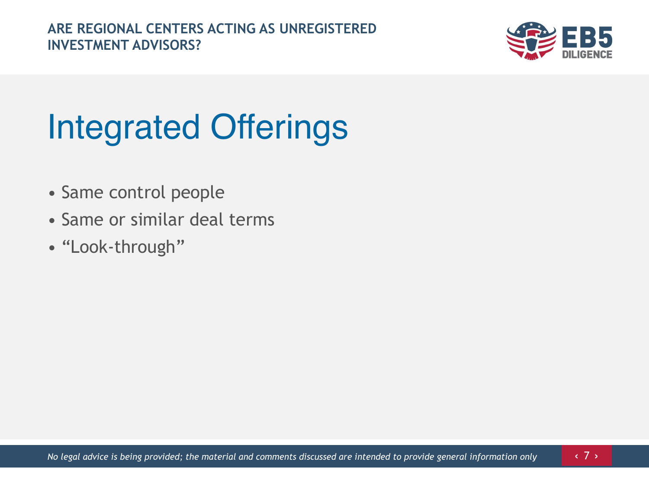

# Integrated Offerings

- Same control people
- Same or similar deal terms
- "Look-through"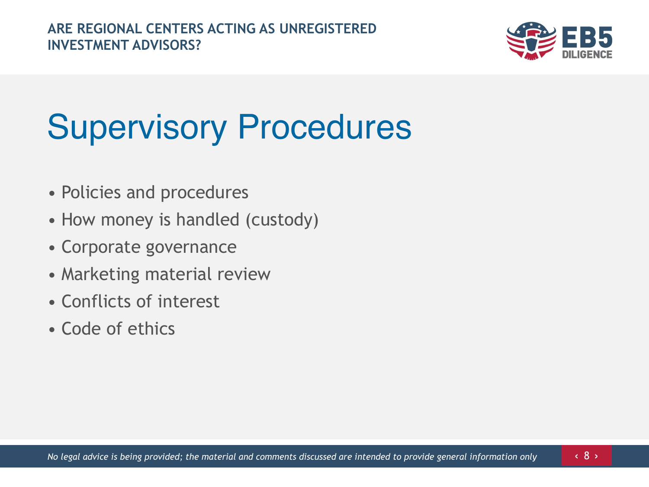

# Supervisory Procedures

- Policies and procedures
- How money is handled (custody)
- Corporate governance
- Marketing material review
- Conflicts of interest
- Code of ethics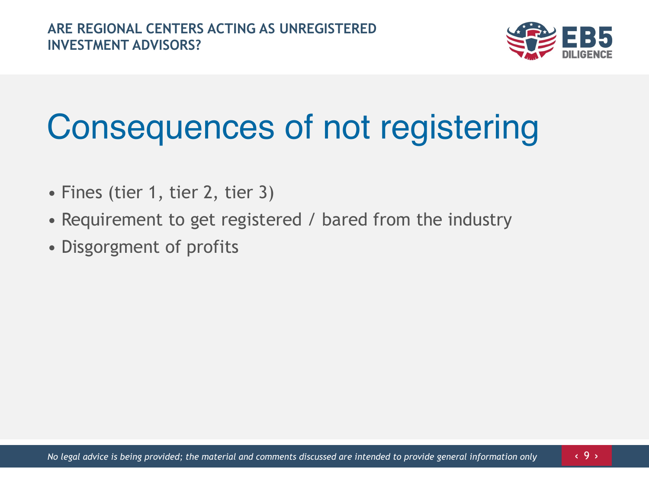

## Consequences of not registering

- Fines (tier 1, tier 2, tier 3)
- Requirement to get registered / bared from the industry
- Disgorgment of profits